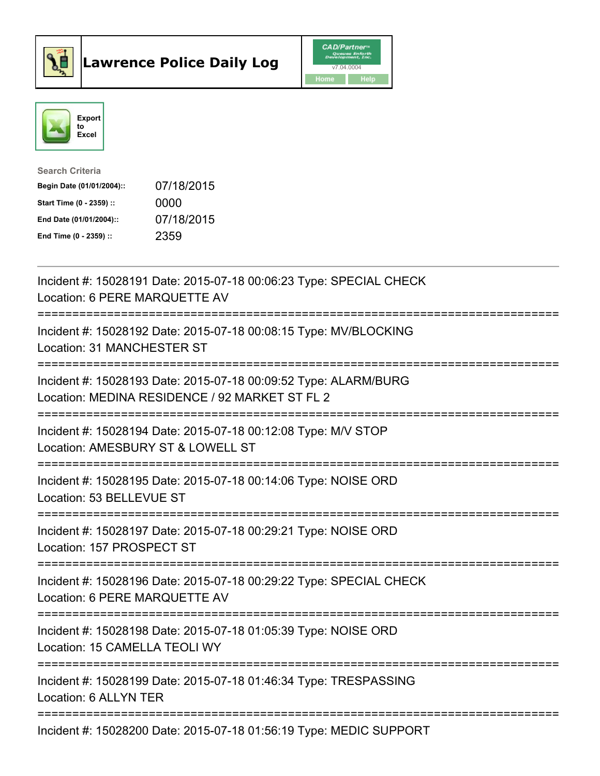



| <b>Search Criteria</b>    |            |
|---------------------------|------------|
| Begin Date (01/01/2004):: | 07/18/2015 |
| Start Time (0 - 2359) ::  | 0000       |
| End Date (01/01/2004)::   | 07/18/2015 |
| End Time $(0 - 2359)$ :   | 2359       |

| Incident #: 15028191 Date: 2015-07-18 00:06:23 Type: SPECIAL CHECK<br>Location: 6 PERE MARQUETTE AV               |
|-------------------------------------------------------------------------------------------------------------------|
| Incident #: 15028192 Date: 2015-07-18 00:08:15 Type: MV/BLOCKING<br>Location: 31 MANCHESTER ST                    |
| Incident #: 15028193 Date: 2015-07-18 00:09:52 Type: ALARM/BURG<br>Location: MEDINA RESIDENCE / 92 MARKET ST FL 2 |
| Incident #: 15028194 Date: 2015-07-18 00:12:08 Type: M/V STOP<br>Location: AMESBURY ST & LOWELL ST                |
| Incident #: 15028195 Date: 2015-07-18 00:14:06 Type: NOISE ORD<br>Location: 53 BELLEVUE ST                        |
| Incident #: 15028197 Date: 2015-07-18 00:29:21 Type: NOISE ORD<br>Location: 157 PROSPECT ST                       |
| Incident #: 15028196 Date: 2015-07-18 00:29:22 Type: SPECIAL CHECK<br>Location: 6 PERE MARQUETTE AV               |
| Incident #: 15028198 Date: 2015-07-18 01:05:39 Type: NOISE ORD<br>Location: 15 CAMELLA TEOLI WY                   |
| ------------------<br>Incident #: 15028199 Date: 2015-07-18 01:46:34 Type: TRESPASSING<br>Location: 6 ALLYN TER   |
| Incident #: 15028200 Date: 2015-07-18 01:56:19 Type: MEDIC SUPPORT                                                |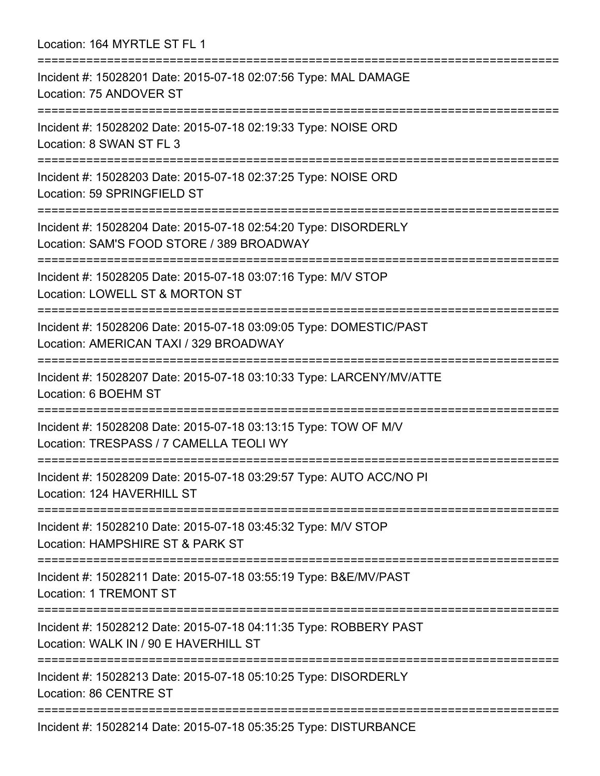Location: 164 MYRTLE ST FL 1 =========================================================================== Incident #: 15028201 Date: 2015-07-18 02:07:56 Type: MAL DAMAGE Location: 75 ANDOVER ST =========================================================================== Incident #: 15028202 Date: 2015-07-18 02:19:33 Type: NOISE ORD Location: 8 SWAN ST FL 3 =========================================================================== Incident #: 15028203 Date: 2015-07-18 02:37:25 Type: NOISE ORD Location: 59 SPRINGFIELD ST =========================================================================== Incident #: 15028204 Date: 2015-07-18 02:54:20 Type: DISORDERLY Location: SAM'S FOOD STORE / 389 BROADWAY =========================================================================== Incident #: 15028205 Date: 2015-07-18 03:07:16 Type: M/V STOP Location: LOWELL ST & MORTON ST =========================================================================== Incident #: 15028206 Date: 2015-07-18 03:09:05 Type: DOMESTIC/PAST Location: AMERICAN TAXI / 329 BROADWAY =========================================================================== Incident #: 15028207 Date: 2015-07-18 03:10:33 Type: LARCENY/MV/ATTE Location: 6 BOEHM ST =========================================================================== Incident #: 15028208 Date: 2015-07-18 03:13:15 Type: TOW OF M/V Location: TRESPASS / 7 CAMELLA TEOLI WY =========================================================================== Incident #: 15028209 Date: 2015-07-18 03:29:57 Type: AUTO ACC/NO PI Location: 124 HAVERHILL ST =========================================================================== Incident #: 15028210 Date: 2015-07-18 03:45:32 Type: M/V STOP Location: HAMPSHIRE ST & PARK ST =========================================================================== Incident #: 15028211 Date: 2015-07-18 03:55:19 Type: B&E/MV/PAST Location: 1 TREMONT ST =========================================================================== Incident #: 15028212 Date: 2015-07-18 04:11:35 Type: ROBBERY PAST Location: WALK IN / 90 E HAVERHILL ST =========================================================================== Incident #: 15028213 Date: 2015-07-18 05:10:25 Type: DISORDERLY Location: 86 CENTRE ST =========================================================================== Incident #: 15028214 Date: 2015-07-18 05:35:25 Type: DISTURBANCE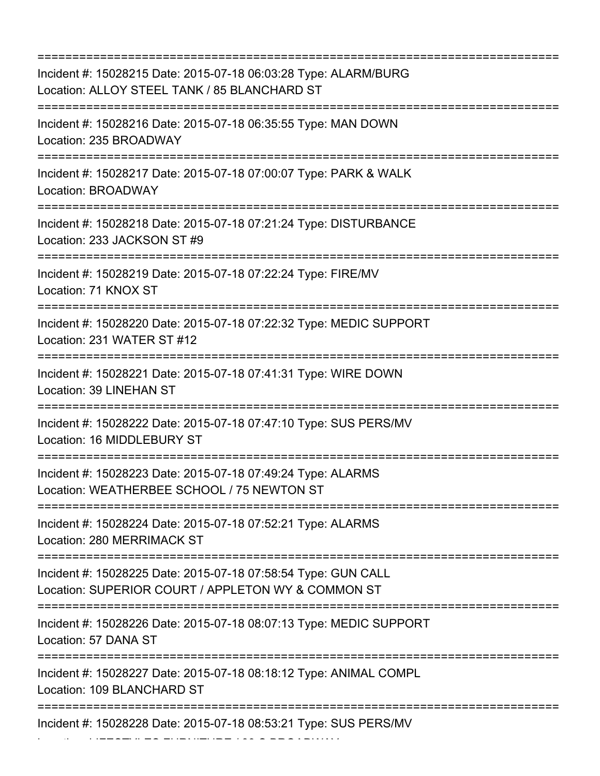=========================================================================== Incident #: 15028215 Date: 2015-07-18 06:03:28 Type: ALARM/BURG Location: ALLOY STEEL TANK / 85 BLANCHARD ST =========================================================================== Incident #: 15028216 Date: 2015-07-18 06:35:55 Type: MAN DOWN Location: 235 BROADWAY =========================================================================== Incident #: 15028217 Date: 2015-07-18 07:00:07 Type: PARK & WALK Location: BROADWAY =========================================================================== Incident #: 15028218 Date: 2015-07-18 07:21:24 Type: DISTURBANCE Location: 233 JACKSON ST #9 =========================================================================== Incident #: 15028219 Date: 2015-07-18 07:22:24 Type: FIRE/MV Location: 71 KNOX ST =========================================================================== Incident #: 15028220 Date: 2015-07-18 07:22:32 Type: MEDIC SUPPORT Location: 231 WATER ST #12 =========================================================================== Incident #: 15028221 Date: 2015-07-18 07:41:31 Type: WIRE DOWN Location: 39 LINEHAN ST =========================================================================== Incident #: 15028222 Date: 2015-07-18 07:47:10 Type: SUS PERS/MV Location: 16 MIDDLEBURY ST =========================================================================== Incident #: 15028223 Date: 2015-07-18 07:49:24 Type: ALARMS Location: WEATHERBEE SCHOOL / 75 NEWTON ST =========================================================================== Incident #: 15028224 Date: 2015-07-18 07:52:21 Type: ALARMS Location: 280 MERRIMACK ST =========================================================================== Incident #: 15028225 Date: 2015-07-18 07:58:54 Type: GUN CALL Location: SUPERIOR COURT / APPLETON WY & COMMON ST =========================================================================== Incident #: 15028226 Date: 2015-07-18 08:07:13 Type: MEDIC SUPPORT Location: 57 DANA ST =========================================================================== Incident #: 15028227 Date: 2015-07-18 08:18:12 Type: ANIMAL COMPL Location: 109 BLANCHARD ST =========================================================================== Incident #: 15028228 Date: 2015-07-18 08:53:21 Type: SUS PERS/MV

Location: LIFESTYLES FURNITURE / 33 S BROADWAY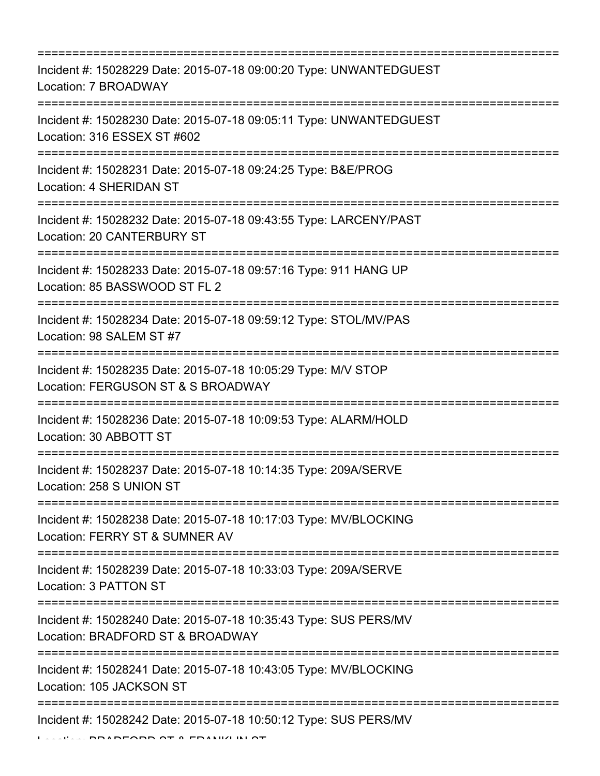| Incident #: 15028229 Date: 2015-07-18 09:00:20 Type: UNWANTEDGUEST<br>Location: 7 BROADWAY                                                                               |
|--------------------------------------------------------------------------------------------------------------------------------------------------------------------------|
| Incident #: 15028230 Date: 2015-07-18 09:05:11 Type: UNWANTEDGUEST<br>Location: 316 ESSEX ST #602                                                                        |
| Incident #: 15028231 Date: 2015-07-18 09:24:25 Type: B&E/PROG<br>Location: 4 SHERIDAN ST                                                                                 |
| Incident #: 15028232 Date: 2015-07-18 09:43:55 Type: LARCENY/PAST<br><b>Location: 20 CANTERBURY ST</b><br>=================                                              |
| Incident #: 15028233 Date: 2015-07-18 09:57:16 Type: 911 HANG UP<br>Location: 85 BASSWOOD ST FL 2<br>================================<br>:=======================        |
| Incident #: 15028234 Date: 2015-07-18 09:59:12 Type: STOL/MV/PAS<br>Location: 98 SALEM ST #7<br>==================================<br>:================================= |
| Incident #: 15028235 Date: 2015-07-18 10:05:29 Type: M/V STOP<br>Location: FERGUSON ST & S BROADWAY                                                                      |
| Incident #: 15028236 Date: 2015-07-18 10:09:53 Type: ALARM/HOLD<br>Location: 30 ABBOTT ST                                                                                |
| Incident #: 15028237 Date: 2015-07-18 10:14:35 Type: 209A/SERVE<br>Location: 258 S UNION ST                                                                              |
| Incident #: 15028238 Date: 2015-07-18 10:17:03 Type: MV/BLOCKING<br>Location: FERRY ST & SUMNER AV                                                                       |
| Incident #: 15028239 Date: 2015-07-18 10:33:03 Type: 209A/SERVE<br>Location: 3 PATTON ST                                                                                 |
| Incident #: 15028240 Date: 2015-07-18 10:35:43 Type: SUS PERS/MV<br>Location: BRADFORD ST & BROADWAY                                                                     |
| Incident #: 15028241 Date: 2015-07-18 10:43:05 Type: MV/BLOCKING<br>Location: 105 JACKSON ST                                                                             |
| Incident #: 15028242 Date: 2015-07-18 10:50:12 Type: SUS PERS/MV                                                                                                         |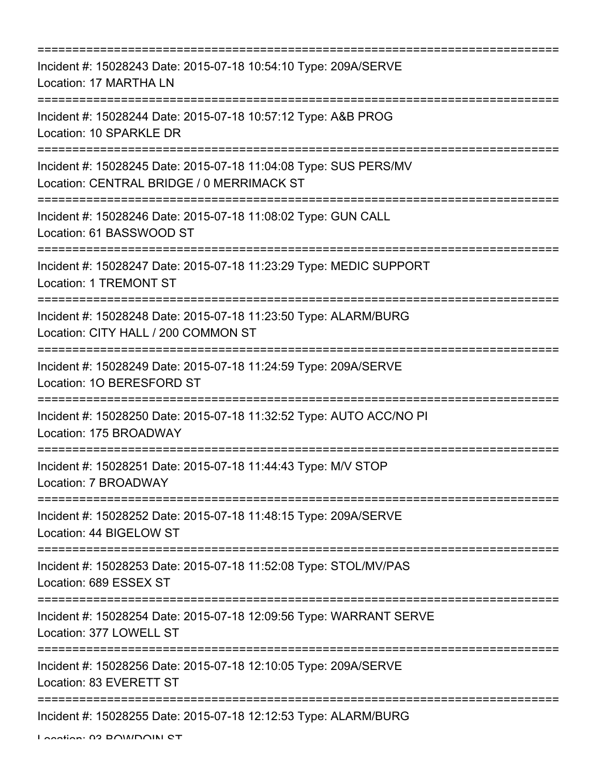| :=========================<br>=========================                                                                                    |
|--------------------------------------------------------------------------------------------------------------------------------------------|
| Incident #: 15028243 Date: 2015-07-18 10:54:10 Type: 209A/SERVE<br>Location: 17 MARTHA LN                                                  |
| Incident #: 15028244 Date: 2015-07-18 10:57:12 Type: A&B PROG<br>Location: 10 SPARKLE DR                                                   |
| Incident #: 15028245 Date: 2015-07-18 11:04:08 Type: SUS PERS/MV<br>Location: CENTRAL BRIDGE / 0 MERRIMACK ST<br>========================= |
| Incident #: 15028246 Date: 2015-07-18 11:08:02 Type: GUN CALL<br>Location: 61 BASSWOOD ST                                                  |
| Incident #: 15028247 Date: 2015-07-18 11:23:29 Type: MEDIC SUPPORT<br><b>Location: 1 TREMONT ST</b>                                        |
| Incident #: 15028248 Date: 2015-07-18 11:23:50 Type: ALARM/BURG<br>Location: CITY HALL / 200 COMMON ST                                     |
| Incident #: 15028249 Date: 2015-07-18 11:24:59 Type: 209A/SERVE<br>Location: 10 BERESFORD ST                                               |
| Incident #: 15028250 Date: 2015-07-18 11:32:52 Type: AUTO ACC/NO PI<br>Location: 175 BROADWAY                                              |
| Incident #: 15028251 Date: 2015-07-18 11:44:43 Type: M/V STOP<br>Location: 7 BROADWAY                                                      |
| Incident #: 15028252 Date: 2015-07-18 11:48:15 Type: 209A/SERVE<br>Location: 44 BIGELOW ST                                                 |
| Incident #: 15028253 Date: 2015-07-18 11:52:08 Type: STOL/MV/PAS<br>Location: 689 ESSEX ST                                                 |
| Incident #: 15028254 Date: 2015-07-18 12:09:56 Type: WARRANT SERVE<br>Location: 377 LOWELL ST                                              |
| Incident #: 15028256 Date: 2015-07-18 12:10:05 Type: 209A/SERVE<br>Location: 83 EVERETT ST                                                 |
| Incident #: 15028255 Date: 2015-07-18 12:12:53 Type: ALARM/BURG                                                                            |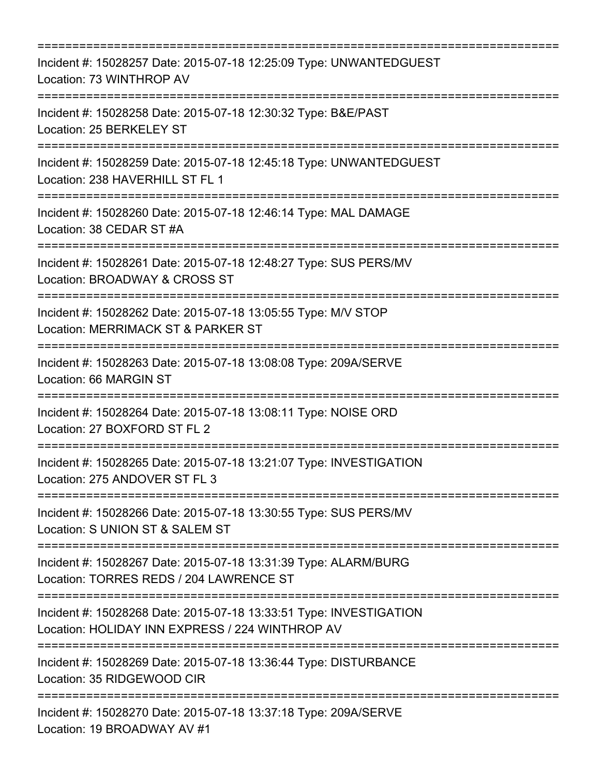| Incident #: 15028257 Date: 2015-07-18 12:25:09 Type: UNWANTEDGUEST<br>Location: 73 WINTHROP AV                                    |
|-----------------------------------------------------------------------------------------------------------------------------------|
| Incident #: 15028258 Date: 2015-07-18 12:30:32 Type: B&E/PAST<br>Location: 25 BERKELEY ST                                         |
| Incident #: 15028259 Date: 2015-07-18 12:45:18 Type: UNWANTEDGUEST<br>Location: 238 HAVERHILL ST FL 1                             |
| Incident #: 15028260 Date: 2015-07-18 12:46:14 Type: MAL DAMAGE<br>Location: 38 CEDAR ST #A                                       |
| Incident #: 15028261 Date: 2015-07-18 12:48:27 Type: SUS PERS/MV<br>Location: BROADWAY & CROSS ST                                 |
| Incident #: 15028262 Date: 2015-07-18 13:05:55 Type: M/V STOP<br>Location: MERRIMACK ST & PARKER ST                               |
| ;===================================<br>Incident #: 15028263 Date: 2015-07-18 13:08:08 Type: 209A/SERVE<br>Location: 66 MARGIN ST |
| Incident #: 15028264 Date: 2015-07-18 13:08:11 Type: NOISE ORD<br>Location: 27 BOXFORD ST FL 2                                    |
| Incident #: 15028265 Date: 2015-07-18 13:21:07 Type: INVESTIGATION<br>Location: 275 ANDOVER ST FL 3                               |
| Incident #: 15028266 Date: 2015-07-18 13:30:55 Type: SUS PERS/MV<br>Location: S UNION ST & SALEM ST                               |
| Incident #: 15028267 Date: 2015-07-18 13:31:39 Type: ALARM/BURG<br>Location: TORRES REDS / 204 LAWRENCE ST                        |
| Incident #: 15028268 Date: 2015-07-18 13:33:51 Type: INVESTIGATION<br>Location: HOLIDAY INN EXPRESS / 224 WINTHROP AV             |
| Incident #: 15028269 Date: 2015-07-18 13:36:44 Type: DISTURBANCE<br>Location: 35 RIDGEWOOD CIR                                    |
| Incident #: 15028270 Date: 2015-07-18 13:37:18 Type: 209A/SERVE<br>Location: 19 BROADWAY AV #1                                    |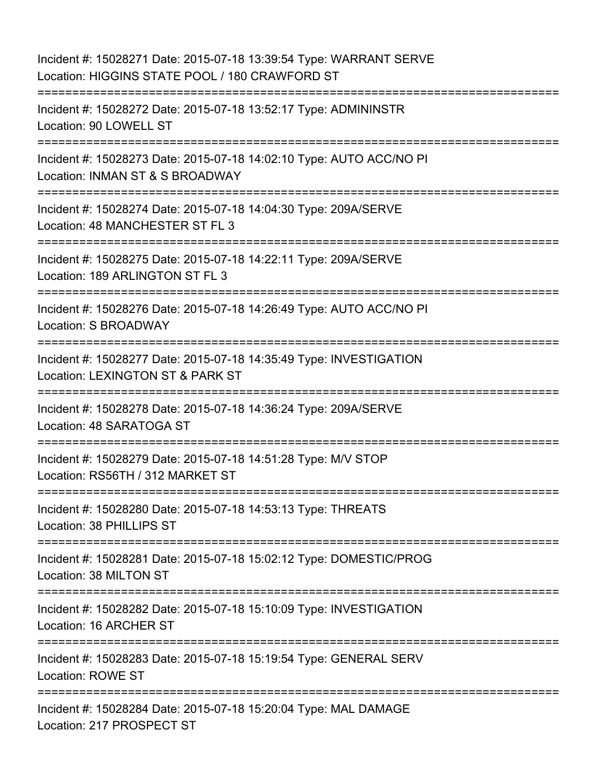Incident #: 15028271 Date: 2015-07-18 13:39:54 Type: WARRANT SERVE Location: HIGGINS STATE POOL / 180 CRAWFORD ST =========================================================================== Incident #: 15028272 Date: 2015-07-18 13:52:17 Type: ADMININSTR Location: 90 LOWELL ST =========================================================================== Incident #: 15028273 Date: 2015-07-18 14:02:10 Type: AUTO ACC/NO PI Location: INMAN ST & S BROADWAY =========================================================================== Incident #: 15028274 Date: 2015-07-18 14:04:30 Type: 209A/SERVE Location: 48 MANCHESTER ST FL 3 =========================================================================== Incident #: 15028275 Date: 2015-07-18 14:22:11 Type: 209A/SERVE Location: 189 ARLINGTON ST FL 3 =========================================================================== Incident #: 15028276 Date: 2015-07-18 14:26:49 Type: AUTO ACC/NO PI Location: S BROADWAY =========================================================================== Incident #: 15028277 Date: 2015-07-18 14:35:49 Type: INVESTIGATION Location: LEXINGTON ST & PARK ST =========================================================================== Incident #: 15028278 Date: 2015-07-18 14:36:24 Type: 209A/SERVE Location: 48 SARATOGA ST =========================================================================== Incident #: 15028279 Date: 2015-07-18 14:51:28 Type: M/V STOP Location: RS56TH / 312 MARKET ST =========================================================================== Incident #: 15028280 Date: 2015-07-18 14:53:13 Type: THREATS Location: 38 PHILLIPS ST =========================================================================== Incident #: 15028281 Date: 2015-07-18 15:02:12 Type: DOMESTIC/PROG Location: 38 MILTON ST =========================================================================== Incident #: 15028282 Date: 2015-07-18 15:10:09 Type: INVESTIGATION Location: 16 ARCHER ST =========================================================================== Incident #: 15028283 Date: 2015-07-18 15:19:54 Type: GENERAL SERV Location: ROWE ST ================== Incident #: 15028284 Date: 2015-07-18 15:20:04 Type: MAL DAMAGE Location: 217 PROSPECT ST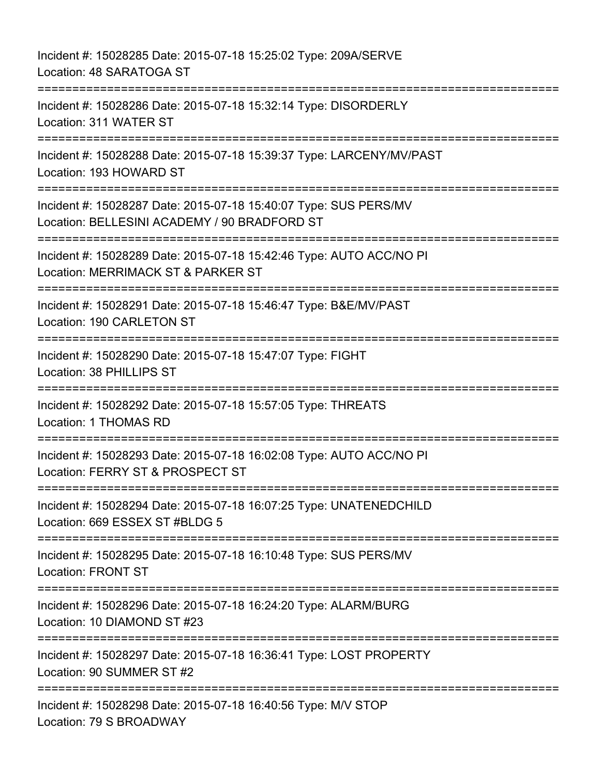Incident #: 15028285 Date: 2015-07-18 15:25:02 Type: 209A/SERVE Location: 48 SARATOGA ST =========================================================================== Incident #: 15028286 Date: 2015-07-18 15:32:14 Type: DISORDERLY Location: 311 WATER ST =========================================================================== Incident #: 15028288 Date: 2015-07-18 15:39:37 Type: LARCENY/MV/PAST Location: 193 HOWARD ST =========================================================================== Incident #: 15028287 Date: 2015-07-18 15:40:07 Type: SUS PERS/MV Location: BELLESINI ACADEMY / 90 BRADFORD ST =========================================================================== Incident #: 15028289 Date: 2015-07-18 15:42:46 Type: AUTO ACC/NO PI Location: MERRIMACK ST & PARKER ST =========================================================================== Incident #: 15028291 Date: 2015-07-18 15:46:47 Type: B&E/MV/PAST Location: 190 CARLETON ST =========================================================================== Incident #: 15028290 Date: 2015-07-18 15:47:07 Type: FIGHT Location: 38 PHILLIPS ST =========================================================================== Incident #: 15028292 Date: 2015-07-18 15:57:05 Type: THREATS Location: 1 THOMAS RD =========================================================================== Incident #: 15028293 Date: 2015-07-18 16:02:08 Type: AUTO ACC/NO PI Location: FERRY ST & PROSPECT ST =========================================================================== Incident #: 15028294 Date: 2015-07-18 16:07:25 Type: UNATENEDCHILD Location: 669 ESSEX ST #BLDG 5 =========================================================================== Incident #: 15028295 Date: 2015-07-18 16:10:48 Type: SUS PERS/MV Location: FRONT ST =========================================================================== Incident #: 15028296 Date: 2015-07-18 16:24:20 Type: ALARM/BURG Location: 10 DIAMOND ST #23 =========================================================================== Incident #: 15028297 Date: 2015-07-18 16:36:41 Type: LOST PROPERTY Location: 90 SUMMER ST #2 =========================================================================== Incident #: 15028298 Date: 2015-07-18 16:40:56 Type: M/V STOP Location: 79 S BROADWAY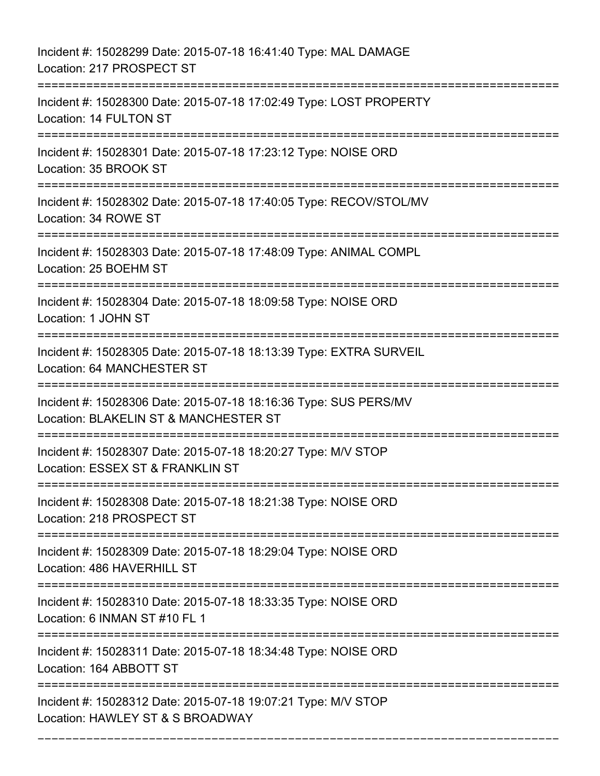Incident #: 15028299 Date: 2015-07-18 16:41:40 Type: MAL DAMAGE Location: 217 PROSPECT ST =========================================================================== Incident #: 15028300 Date: 2015-07-18 17:02:49 Type: LOST PROPERTY Location: 14 FULTON ST =========================================================================== Incident #: 15028301 Date: 2015-07-18 17:23:12 Type: NOISE ORD Location: 35 BROOK ST =========================================================================== Incident #: 15028302 Date: 2015-07-18 17:40:05 Type: RECOV/STOL/MV Location: 34 ROWE ST =========================================================================== Incident #: 15028303 Date: 2015-07-18 17:48:09 Type: ANIMAL COMPL Location: 25 BOEHM ST =========================================================================== Incident #: 15028304 Date: 2015-07-18 18:09:58 Type: NOISE ORD Location: 1 JOHN ST =========================================================================== Incident #: 15028305 Date: 2015-07-18 18:13:39 Type: EXTRA SURVEIL Location: 64 MANCHESTER ST =========================================================================== Incident #: 15028306 Date: 2015-07-18 18:16:36 Type: SUS PERS/MV Location: BLAKELIN ST & MANCHESTER ST =========================================================================== Incident #: 15028307 Date: 2015-07-18 18:20:27 Type: M/V STOP Location: ESSEX ST & FRANKLIN ST =========================================================================== Incident #: 15028308 Date: 2015-07-18 18:21:38 Type: NOISE ORD Location: 218 PROSPECT ST =========================================================================== Incident #: 15028309 Date: 2015-07-18 18:29:04 Type: NOISE ORD Location: 486 HAVERHILL ST =========================================================================== Incident #: 15028310 Date: 2015-07-18 18:33:35 Type: NOISE ORD Location: 6 INMAN ST #10 FL 1 =========================================================================== Incident #: 15028311 Date: 2015-07-18 18:34:48 Type: NOISE ORD Location: 164 ABBOTT ST =========================================================================== Incident #: 15028312 Date: 2015-07-18 19:07:21 Type: M/V STOP Location: HAWLEY ST & S BROADWAY

===========================================================================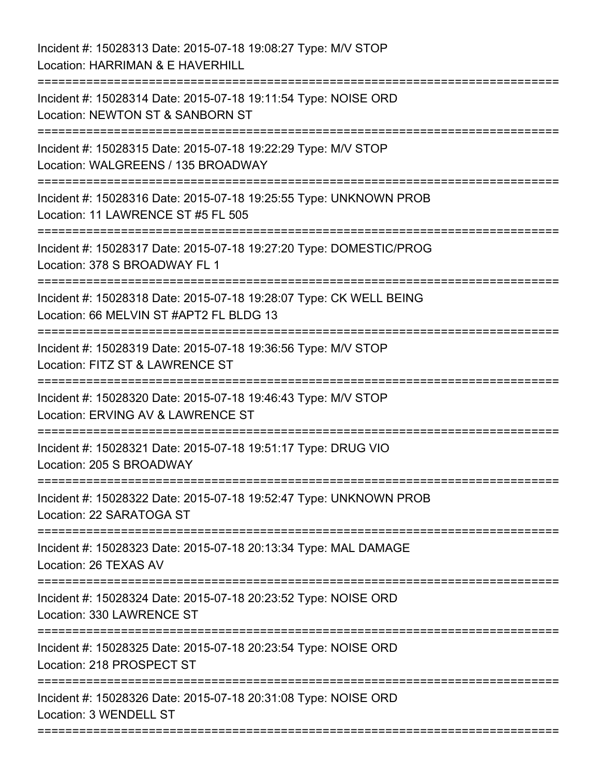Incident #: 15028313 Date: 2015-07-18 19:08:27 Type: M/V STOP Location: HARRIMAN & E HAVERHILL =========================================================================== Incident #: 15028314 Date: 2015-07-18 19:11:54 Type: NOISE ORD Location: NEWTON ST & SANBORN ST =========================================================================== Incident #: 15028315 Date: 2015-07-18 19:22:29 Type: M/V STOP Location: WALGREENS / 135 BROADWAY =========================================================================== Incident #: 15028316 Date: 2015-07-18 19:25:55 Type: UNKNOWN PROB Location: 11 LAWRENCE ST #5 FL 505 =========================================================================== Incident #: 15028317 Date: 2015-07-18 19:27:20 Type: DOMESTIC/PROG Location: 378 S BROADWAY FL 1 =========================================================================== Incident #: 15028318 Date: 2015-07-18 19:28:07 Type: CK WELL BEING Location: 66 MELVIN ST #APT2 FL BLDG 13 =========================================================================== Incident #: 15028319 Date: 2015-07-18 19:36:56 Type: M/V STOP Location: FITZ ST & LAWRENCE ST =========================================================================== Incident #: 15028320 Date: 2015-07-18 19:46:43 Type: M/V STOP Location: ERVING AV & LAWRENCE ST =========================================================================== Incident #: 15028321 Date: 2015-07-18 19:51:17 Type: DRUG VIO Location: 205 S BROADWAY =========================================================================== Incident #: 15028322 Date: 2015-07-18 19:52:47 Type: UNKNOWN PROB Location: 22 SARATOGA ST =========================================================================== Incident #: 15028323 Date: 2015-07-18 20:13:34 Type: MAL DAMAGE Location: 26 TEXAS AV =========================================================================== Incident #: 15028324 Date: 2015-07-18 20:23:52 Type: NOISE ORD Location: 330 LAWRENCE ST =========================================================================== Incident #: 15028325 Date: 2015-07-18 20:23:54 Type: NOISE ORD Location: 218 PROSPECT ST =========================================================================== Incident #: 15028326 Date: 2015-07-18 20:31:08 Type: NOISE ORD Location: 3 WENDELL ST ===========================================================================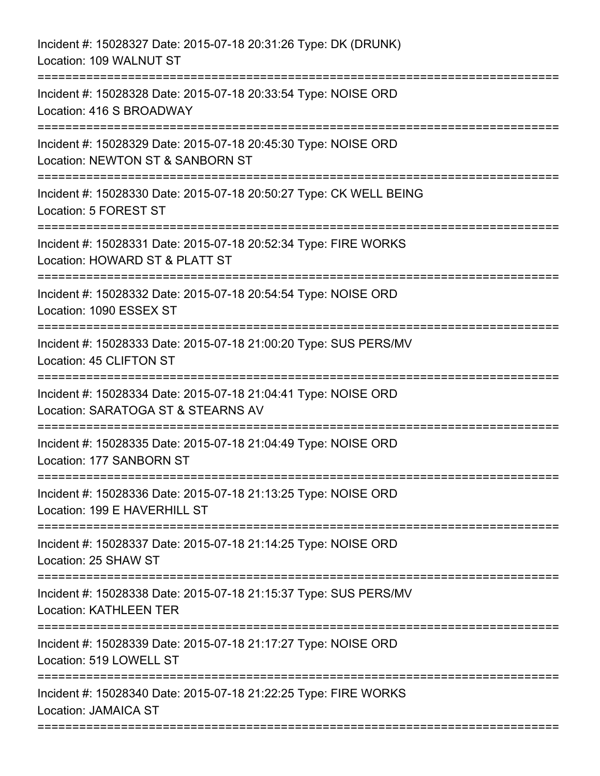| Incident #: 15028327 Date: 2015-07-18 20:31:26 Type: DK (DRUNK)<br>Location: 109 WALNUT ST                                     |
|--------------------------------------------------------------------------------------------------------------------------------|
| Incident #: 15028328 Date: 2015-07-18 20:33:54 Type: NOISE ORD<br>Location: 416 S BROADWAY                                     |
| Incident #: 15028329 Date: 2015-07-18 20:45:30 Type: NOISE ORD<br>Location: NEWTON ST & SANBORN ST                             |
| Incident #: 15028330 Date: 2015-07-18 20:50:27 Type: CK WELL BEING<br>Location: 5 FOREST ST<br>-------------                   |
| Incident #: 15028331 Date: 2015-07-18 20:52:34 Type: FIRE WORKS<br>Location: HOWARD ST & PLATT ST<br>------------------------- |
| Incident #: 15028332 Date: 2015-07-18 20:54:54 Type: NOISE ORD<br>Location: 1090 ESSEX ST<br>===================               |
| Incident #: 15028333 Date: 2015-07-18 21:00:20 Type: SUS PERS/MV<br>Location: 45 CLIFTON ST<br>:===================            |
| Incident #: 15028334 Date: 2015-07-18 21:04:41 Type: NOISE ORD<br>Location: SARATOGA ST & STEARNS AV                           |
| Incident #: 15028335 Date: 2015-07-18 21:04:49 Type: NOISE ORD<br>Location: 177 SANBORN ST                                     |
| Incident #: 15028336 Date: 2015-07-18 21:13:25 Type: NOISE ORD<br>Location: 199 E HAVERHILL ST                                 |
| Incident #: 15028337 Date: 2015-07-18 21:14:25 Type: NOISE ORD<br>Location: 25 SHAW ST                                         |
| Incident #: 15028338 Date: 2015-07-18 21:15:37 Type: SUS PERS/MV<br><b>Location: KATHLEEN TER</b>                              |
| Incident #: 15028339 Date: 2015-07-18 21:17:27 Type: NOISE ORD<br>Location: 519 LOWELL ST                                      |
| Incident #: 15028340 Date: 2015-07-18 21:22:25 Type: FIRE WORKS<br>Location: JAMAICA ST                                        |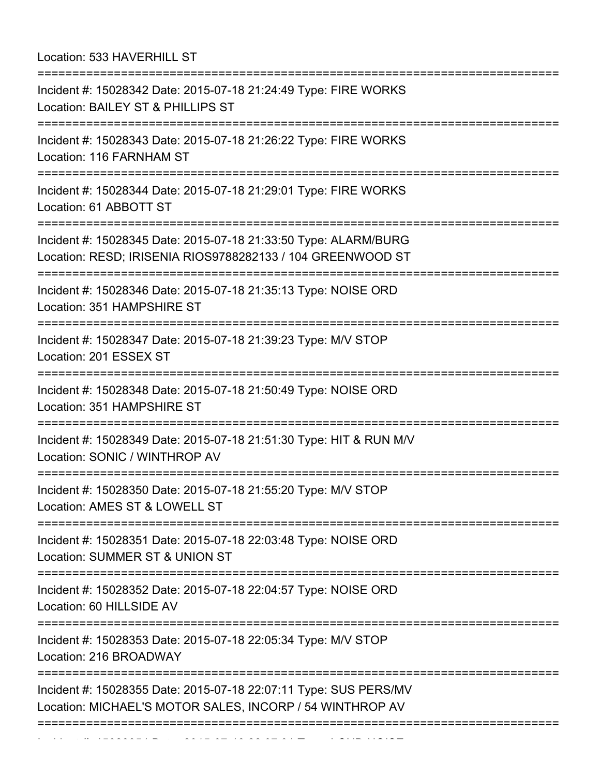Location: 533 HAVERHILL ST

| :=======================                                                                                                      |
|-------------------------------------------------------------------------------------------------------------------------------|
| Incident #: 15028342 Date: 2015-07-18 21:24:49 Type: FIRE WORKS<br>Location: BAILEY ST & PHILLIPS ST                          |
| Incident #: 15028343 Date: 2015-07-18 21:26:22 Type: FIRE WORKS<br>Location: 116 FARNHAM ST                                   |
| Incident #: 15028344 Date: 2015-07-18 21:29:01 Type: FIRE WORKS<br>Location: 61 ABBOTT ST                                     |
| Incident #: 15028345 Date: 2015-07-18 21:33:50 Type: ALARM/BURG<br>Location: RESD; IRISENIA RIOS9788282133 / 104 GREENWOOD ST |
| Incident #: 15028346 Date: 2015-07-18 21:35:13 Type: NOISE ORD<br>Location: 351 HAMPSHIRE ST                                  |
| Incident #: 15028347 Date: 2015-07-18 21:39:23 Type: M/V STOP<br>Location: 201 ESSEX ST                                       |
| Incident #: 15028348 Date: 2015-07-18 21:50:49 Type: NOISE ORD<br>Location: 351 HAMPSHIRE ST                                  |
| Incident #: 15028349 Date: 2015-07-18 21:51:30 Type: HIT & RUN M/V<br>Location: SONIC / WINTHROP AV                           |
| Incident #: 15028350 Date: 2015-07-18 21:55:20 Type: M/V STOP<br>Location: AMES ST & LOWELL ST                                |
| Incident #: 15028351 Date: 2015-07-18 22:03:48 Type: NOISE ORD<br>Location: SUMMER ST & UNION ST                              |
| Incident #: 15028352 Date: 2015-07-18 22:04:57 Type: NOISE ORD<br>Location: 60 HILLSIDE AV                                    |
| Incident #: 15028353 Date: 2015-07-18 22:05:34 Type: M/V STOP<br>Location: 216 BROADWAY                                       |
| Incident #: 15028355 Date: 2015-07-18 22:07:11 Type: SUS PERS/MV<br>Location: MICHAEL'S MOTOR SALES, INCORP / 54 WINTHROP AV  |
|                                                                                                                               |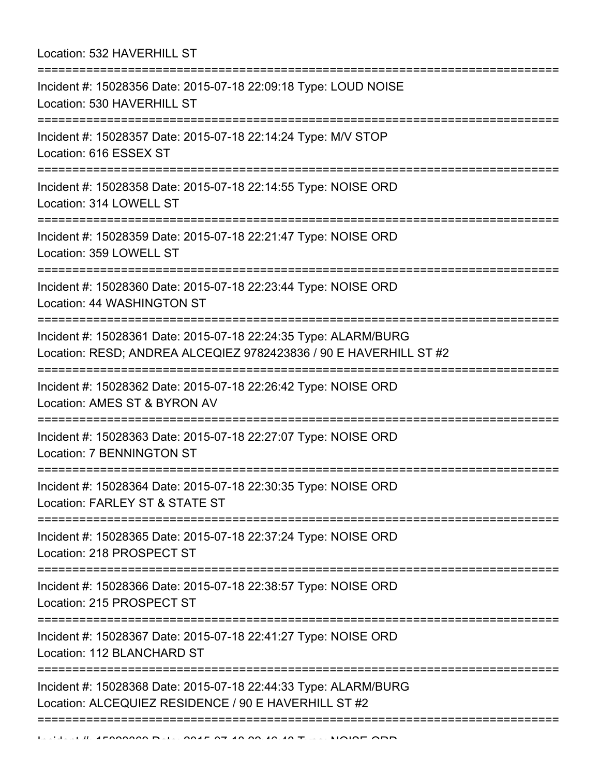| Location: 532 HAVERHILL ST                                                                                                                                                |
|---------------------------------------------------------------------------------------------------------------------------------------------------------------------------|
| Incident #: 15028356 Date: 2015-07-18 22:09:18 Type: LOUD NOISE<br>Location: 530 HAVERHILL ST                                                                             |
| Incident #: 15028357 Date: 2015-07-18 22:14:24 Type: M/V STOP<br>Location: 616 ESSEX ST                                                                                   |
| Incident #: 15028358 Date: 2015-07-18 22:14:55 Type: NOISE ORD<br>Location: 314 LOWELL ST                                                                                 |
| Incident #: 15028359 Date: 2015-07-18 22:21:47 Type: NOISE ORD<br>Location: 359 LOWELL ST                                                                                 |
| Incident #: 15028360 Date: 2015-07-18 22:23:44 Type: NOISE ORD<br>Location: 44 WASHINGTON ST                                                                              |
| Incident #: 15028361 Date: 2015-07-18 22:24:35 Type: ALARM/BURG<br>Location: RESD; ANDREA ALCEQIEZ 9782423836 / 90 E HAVERHILL ST #2<br>:================================ |
| Incident #: 15028362 Date: 2015-07-18 22:26:42 Type: NOISE ORD<br>Location: AMES ST & BYRON AV                                                                            |
| Incident #: 15028363 Date: 2015-07-18 22:27:07 Type: NOISE ORD<br><b>Location: 7 BENNINGTON ST</b>                                                                        |
| Incident #: 15028364 Date: 2015-07-18 22:30:35 Type: NOISE ORD<br>Location: FARLEY ST & STATE ST                                                                          |
| Incident #: 15028365 Date: 2015-07-18 22:37:24 Type: NOISE ORD<br>Location: 218 PROSPECT ST                                                                               |
| Incident #: 15028366 Date: 2015-07-18 22:38:57 Type: NOISE ORD<br>Location: 215 PROSPECT ST                                                                               |
| Incident #: 15028367 Date: 2015-07-18 22:41:27 Type: NOISE ORD<br>Location: 112 BLANCHARD ST                                                                              |
| Incident #: 15028368 Date: 2015-07-18 22:44:33 Type: ALARM/BURG<br>Location: ALCEQUIEZ RESIDENCE / 90 E HAVERHILL ST #2                                                   |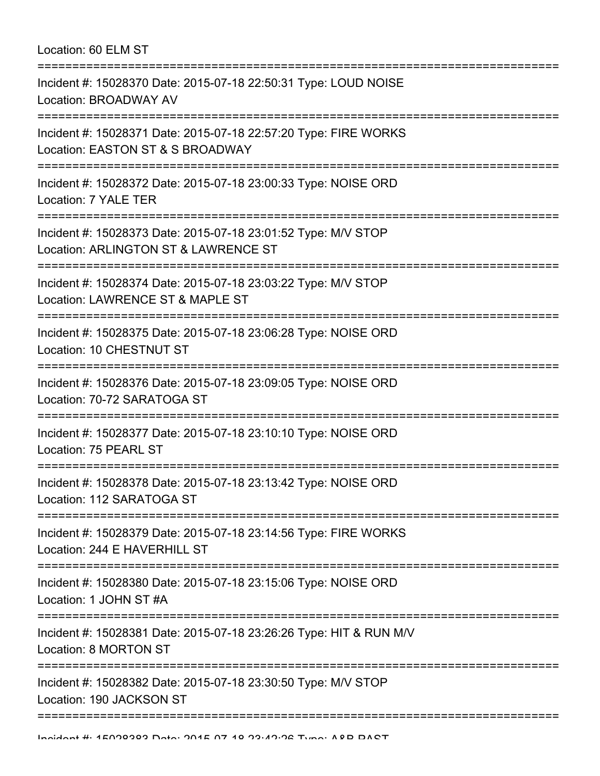| Location: 60 ELM ST<br>====================================                                                                            |
|----------------------------------------------------------------------------------------------------------------------------------------|
| Incident #: 15028370 Date: 2015-07-18 22:50:31 Type: LOUD NOISE<br>Location: BROADWAY AV<br>___________________________________        |
| Incident #: 15028371 Date: 2015-07-18 22:57:20 Type: FIRE WORKS<br>Location: EASTON ST & S BROADWAY                                    |
| Incident #: 15028372 Date: 2015-07-18 23:00:33 Type: NOISE ORD<br>Location: 7 YALE TER<br>=================                            |
| Incident #: 15028373 Date: 2015-07-18 23:01:52 Type: M/V STOP<br>Location: ARLINGTON ST & LAWRENCE ST<br>:============================ |
| Incident #: 15028374 Date: 2015-07-18 23:03:22 Type: M/V STOP<br>Location: LAWRENCE ST & MAPLE ST                                      |
| Incident #: 15028375 Date: 2015-07-18 23:06:28 Type: NOISE ORD<br>Location: 10 CHESTNUT ST                                             |
| Incident #: 15028376 Date: 2015-07-18 23:09:05 Type: NOISE ORD<br>Location: 70-72 SARATOGA ST<br>====================================  |
| Incident #: 15028377 Date: 2015-07-18 23:10:10 Type: NOISE ORD<br>Location: 75 PEARL ST                                                |
| Incident #: 15028378 Date: 2015-07-18 23:13:42 Type: NOISE ORD<br>Location: 112 SARATOGA ST                                            |
| Incident #: 15028379 Date: 2015-07-18 23:14:56 Type: FIRE WORKS<br>Location: 244 E HAVERHILL ST                                        |
| Incident #: 15028380 Date: 2015-07-18 23:15:06 Type: NOISE ORD<br>Location: 1 JOHN ST #A                                               |
| Incident #: 15028381 Date: 2015-07-18 23:26:26 Type: HIT & RUN M/V<br>Location: 8 MORTON ST                                            |
| Incident #: 15028382 Date: 2015-07-18 23:30:50 Type: M/V STOP<br>Location: 190 JACKSON ST                                              |
|                                                                                                                                        |